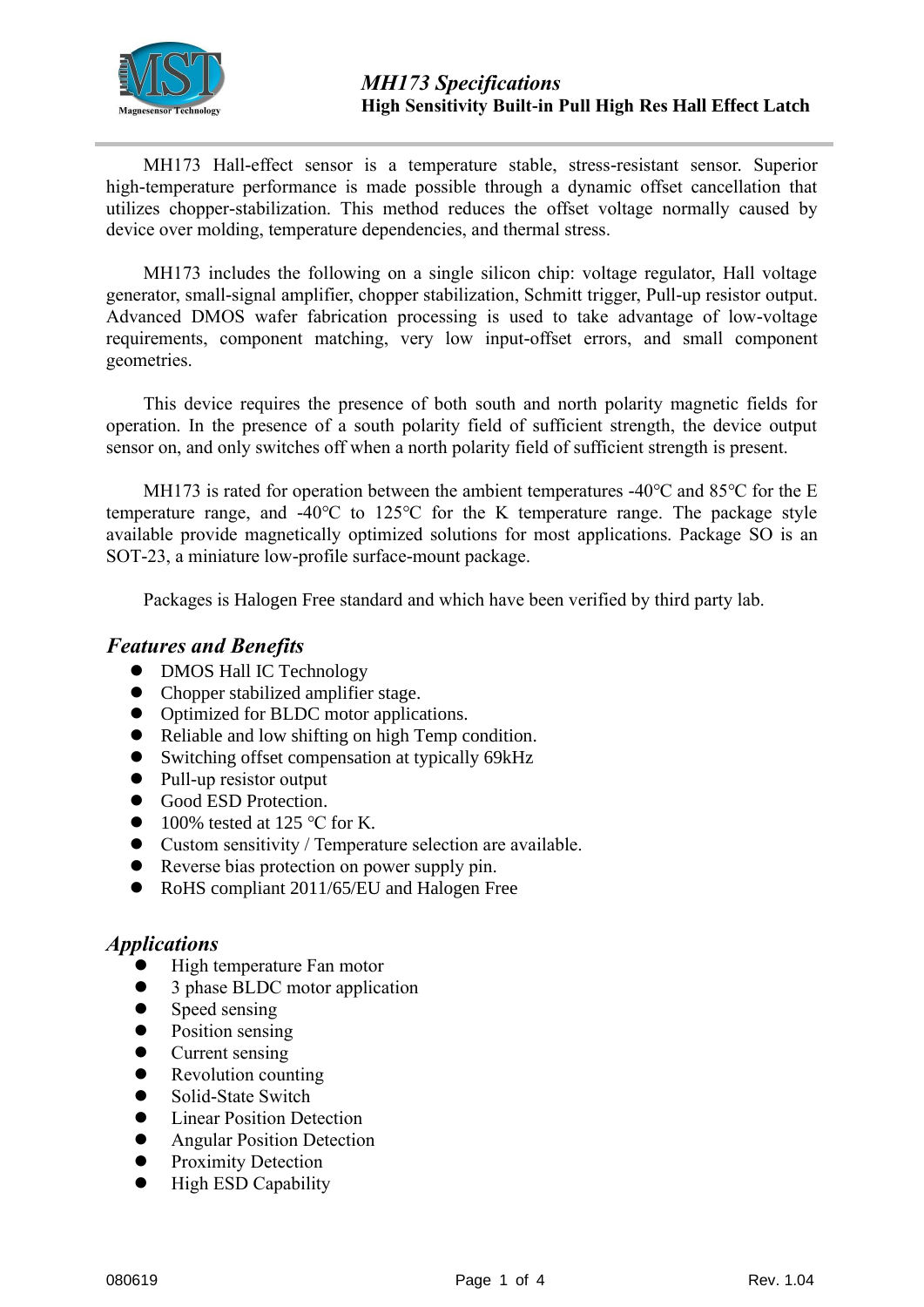

MH173 Hall-effect sensor is a temperature stable, stress-resistant sensor. Superior high-temperature performance is made possible through a dynamic offset cancellation that utilizes chopper-stabilization. This method reduces the offset voltage normally caused by device over molding, temperature dependencies, and thermal stress.

MH173 includes the following on a single silicon chip: voltage regulator, Hall voltage generator, small-signal amplifier, chopper stabilization, Schmitt trigger, Pull-up resistor output. Advanced DMOS wafer fabrication processing is used to take advantage of low-voltage requirements, component matching, very low input-offset errors, and small component geometries.

This device requires the presence of both south and north polarity magnetic fields for operation. In the presence of a south polarity field of sufficient strength, the device output sensor on, and only switches off when a north polarity field of sufficient strength is present.

MH173 is rated for operation between the ambient temperatures -40 $\degree$ C and 85 $\degree$ C for the E temperature range, and -40℃ to 125℃ for the K temperature range. The package style available provide magnetically optimized solutions for most applications. Package SO is an SOT-23, a miniature low-profile surface-mount package.

Packages is Halogen Free standard and which have been verified by third party lab.

## *Features and Benefits*

- DMOS Hall IC Technology
- Chopper stabilized amplifier stage.
- Optimized for BLDC motor applications.
- ⚫ Reliable and low shifting on high Temp condition.
- Switching offset compensation at typically 69kHz
- Pull-up resistor output
- Good ESD Protection.
- $\bullet$  100% tested at 125 °C for K.
- ⚫ Custom sensitivity / Temperature selection are available.
- Reverse bias protection on power supply pin.
- RoHS compliant 2011/65/EU and Halogen Free

### *Applications*

- ⚫ High temperature Fan motor
- ⚫ 3 phase BLDC motor application
- Speed sensing
- Position sensing
- Current sensing
- Revolution counting
- Solid-State Switch
- Linear Position Detection
- Angular Position Detection
- Proximity Detection
- ⚫ High ESD Capability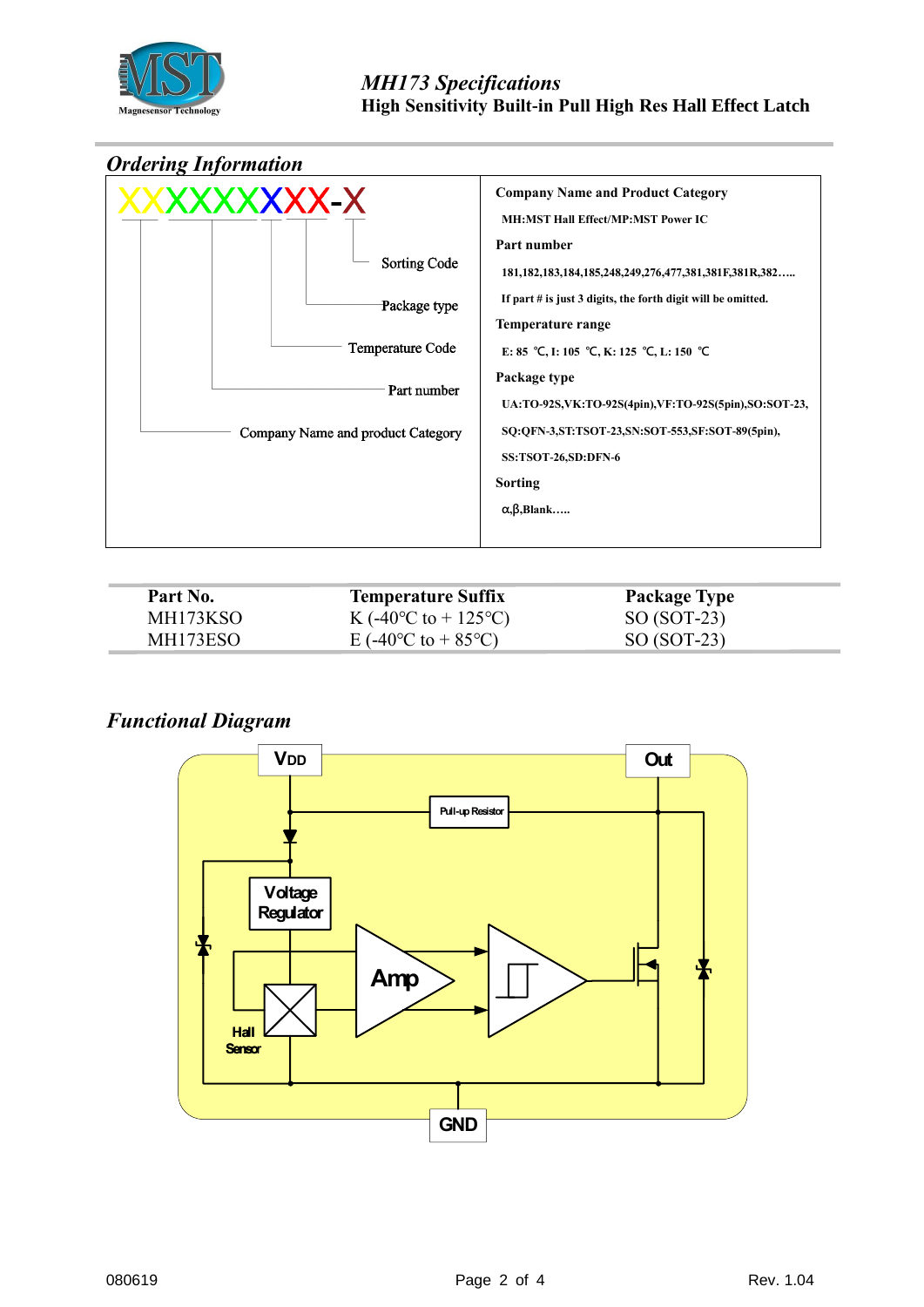



| Part No. | <b>Temperature Suffix</b>                      | <b>Package Type</b> |  |
|----------|------------------------------------------------|---------------------|--|
| MH173KSO | K (-40 <sup>o</sup> C to + 125 <sup>o</sup> C) | $SO (SOT-23)$       |  |
| MH173ESO | E (-40 <sup>o</sup> C to + 85 <sup>o</sup> C)  | $SO (SOT-23)$       |  |

## *Functional Diagram*

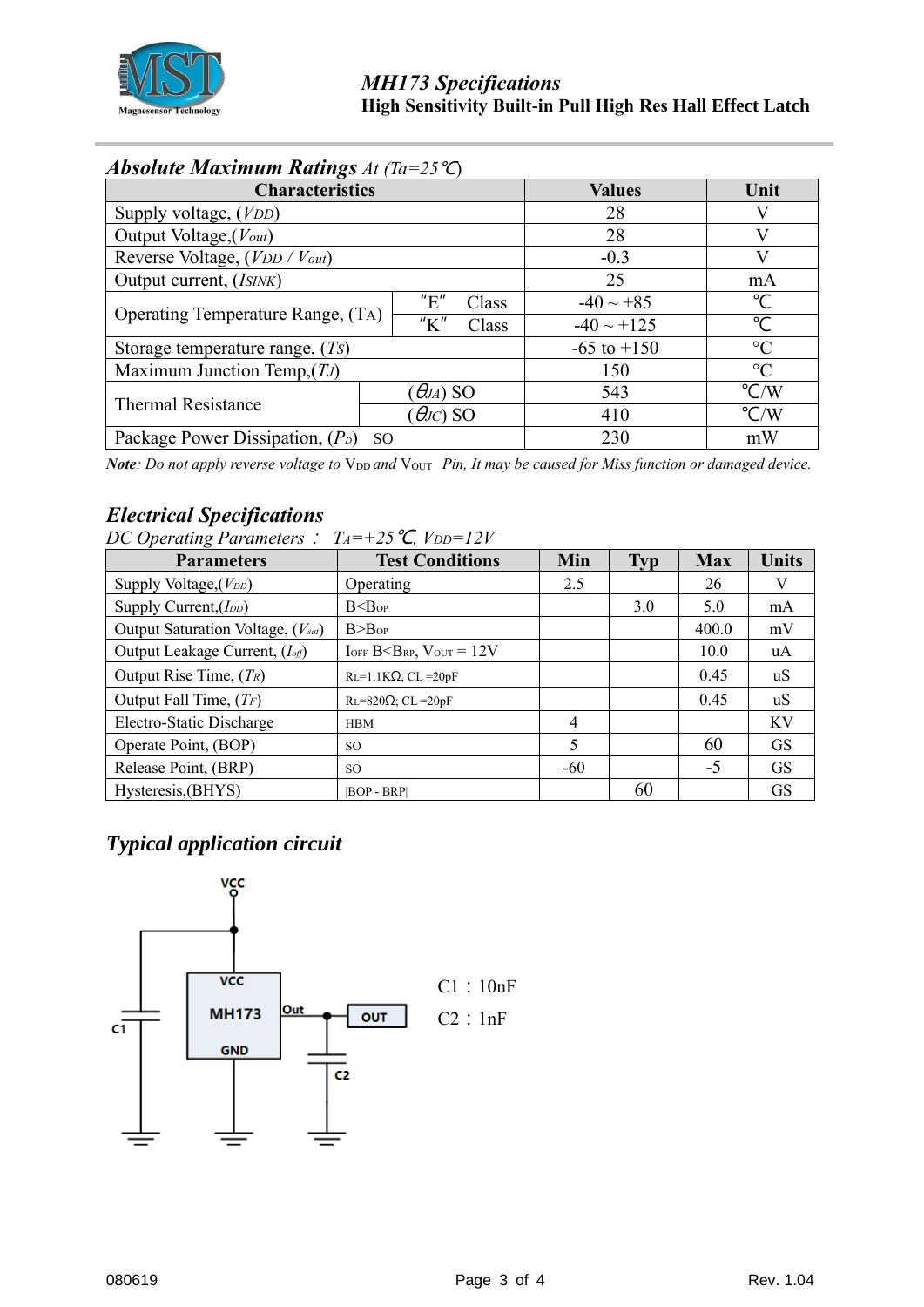

# *Absolute Maximum Ratings At (Ta=25*℃)

| <b>Characteristics</b>                              | <b>Values</b>   | Unit            |                |
|-----------------------------------------------------|-----------------|-----------------|----------------|
| Supply voltage, ( <i>VDD</i> )                      | 28              |                 |                |
| Output Voltage, (Vout)                              | 28              | V               |                |
| Reverse Voltage, (VDD / Vout)                       | $-0.3$          |                 |                |
| Output current, (ISINK)                             | 25              | mA              |                |
|                                                     | "E"<br>Class    | $-40 \sim +85$  | °C             |
| <b>Operating Temperature Range, (TA)</b>            | "K"<br>Class    | $-40 \sim +125$ | $\mathrm{C}$   |
| Storage temperature range, $(Ts)$                   | $-65$ to $+150$ | $\rm ^{\circ}C$ |                |
| Maximum Junction Temp, $(TJ)$                       | 150             | $\rm ^{\circ}C$ |                |
| <b>Thermal Resistance</b>                           | $\Theta$ JA) SO | 543             | $\mathrm{C/W}$ |
|                                                     | $\theta$ JC) SO | 410             | $\mathrm{C/W}$ |
| Package Power Dissipation, $(P_D)$<br><sub>SO</sub> |                 | 230             | mW             |

*Note: Do not apply reverse voltage to*  $V_{DD}$  *and*  $V_{OUT}$  *Pin, It may be caused for Miss function or damaged device.* 

# *Electrical Specifications*

| DC Operating Parameters : $T_A = +25 \text{ °C}$ , $V_{DD} = 12V$ |                                   |                |            |            |              |  |  |  |
|-------------------------------------------------------------------|-----------------------------------|----------------|------------|------------|--------------|--|--|--|
| <b>Parameters</b>                                                 | <b>Test Conditions</b>            | Min            | <b>Typ</b> | <b>Max</b> | <b>Units</b> |  |  |  |
| Supply Voltage, $(V_{DD})$                                        | Operating                         | 2.5            |            | 26         | V            |  |  |  |
| Supply Current, $(I_{DD})$                                        | B < B <sub>OP</sub>               |                | 3.0        | 5.0        | mA           |  |  |  |
| Output Saturation Voltage, (Vsat)                                 | $B>B$ <sub>OP</sub>               |                |            | 400.0      | mV           |  |  |  |
| Output Leakage Current, ( <i>I<sub>off</sub></i> )                | $I$ OFF $B < BRP$ , $V$ OUT = 12V |                |            | 10.0       | uA           |  |  |  |
| Output Rise Time, $(T_R)$                                         | $RL=1.1K\Omega$ , CL = 20pF       |                |            | 0.45       | uS           |  |  |  |
| Output Fall Time, $(T_F)$                                         | $RL=820\Omega$ ; CL = 20pF        |                |            | 0.45       | uS           |  |  |  |
| Electro-Static Discharge                                          | <b>HBM</b>                        | $\overline{4}$ |            |            | KV           |  |  |  |
| Operate Point, (BOP)                                              | SO.                               | 5              |            | 60         | <b>GS</b>    |  |  |  |
| Release Point, (BRP)                                              | SO.                               | $-60$          |            | $-5$       | <b>GS</b>    |  |  |  |
| Hysteresis, (BHYS)                                                | <b>BOP - BRPI</b>                 |                | 60         |            | <b>GS</b>    |  |  |  |

# *Typical application circuit*